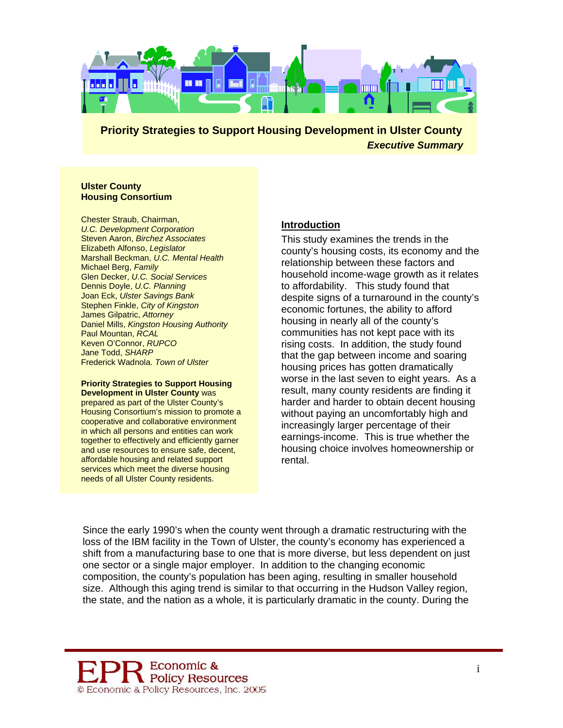

#### **Ulster County Housing Consortium**

Chester Straub, Chairman, *U.C. Development Corporation* Steven Aaron, *Birchez Associates*  Elizabeth Alfonso, *Legislator* Marshall Beckman, *U.C. Mental Health* Michael Berg, *Family* Glen Decker, *U.C. Social Services*  Dennis Doyle, *U.C. Planning* Joan Eck, *Ulster Savings Bank* Stephen Finkle, *City of Kingston* James Gilpatric, *Attorney* Daniel Mills, *Kingston Housing Authority* Paul Mountan, *RCAL* Keven O'Connor, *RUPCO* Jane Todd, *SHARP*  Frederick Wadnola, *Town of Ulster*

#### **Priority Strategies to Support Housing Development in Ulster County** was

prepared as part of the Ulster County's Housing Consortium's mission to promote a cooperative and collaborative en vironment in which all persons and entities can w ork together to effectively and efficiently garner and use resources to ensure safe, dece nt, affordable housing and related support services which meet the diverse housing needs of all Ulster County residents.

### **Introduction**

This study examines the trends in the county's housing costs, its economy and the relationship between these factors and household income-wage growth as it relates to affordability. This study found that despite signs of a turnaround in the county's economic fortunes, the ability to afford housing in nearly all of the county's communities has not kept pace with its rising costs. In addition, the study found that the gap between income and soaring housing prices has gotten dramatically worse in the last seven to eight years. As a result, many county residents are finding it harder and harder to obtain decent housing without paying an uncomfortably high and increasingly larger percentage of their earnings-income. This is true whether the housing choice involves homeownership or rental.

Since the early 1990's when the county went through a dramatic restructuring with the loss of the IBM facility in the Town of Ulster, the county's economy has experienced a shift from a manufacturing base to one that is more diverse, but less dependent on just one sector or a single major employer. In addition to the changing economic composition, the county's population has been aging, resulting in smaller household size. Although this aging trend is similar to that occurring in the Hudson Valley region, the state, and the nation as a whole, it is particularly dramatic in the county. During the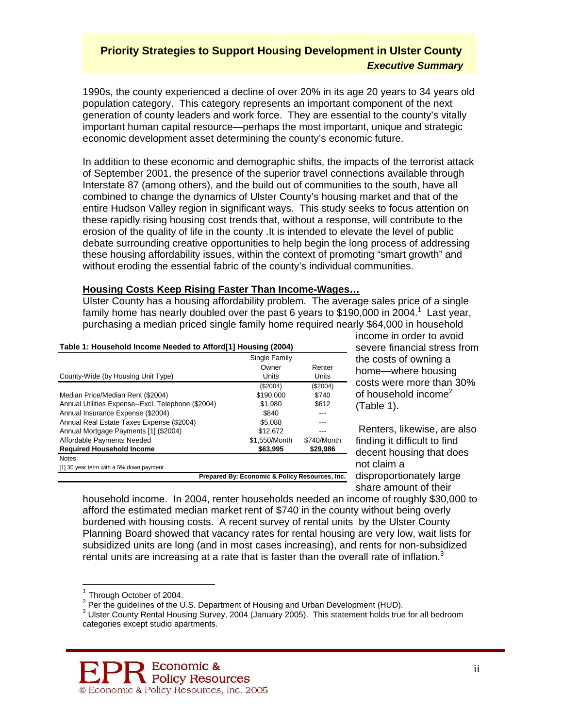1990s, the county experienced a decline of over 20% in its age 20 years to 34 years old population category. This category represents an important component of the next generation of county leaders and work force. They are essential to the county's vitally important human capital resource—perhaps the most important, unique and strategic economic development asset determining the county's economic future.

In addition to these economic and demographic shifts, the impacts of the terrorist attack of September 2001, the presence of the superior travel connections available through Interstate 87 (among others), and the build out of communities to the south, have all combined to change the dynamics of Ulster County's housing market and that of the entire Hudson Valley region in significant ways. This study seeks to focus attention on these rapidly rising housing cost trends that, without a response, will contribute to the erosion of the quality of life in the county .It is intended to elevate the level of public debate surrounding creative opportunities to help begin the long process of addressing these housing affordability issues, within the context of promoting "smart growth" and without eroding the essential fabric of the county's individual communities.

#### **Housing Costs Keep Rising Faster Than Income-Wages…**

Ulster County has a housing affordability problem. The average sales price of a single family home has nearly doubled over the past 6 years to \$[1](#page-1-0)90,000 in 2004.<sup>1</sup> Last year, purchasing a median priced single family home required nearly \$64,000 in household

| Table 1: Household Income Needed to Afford[1] Housing (2004) |  |
|--------------------------------------------------------------|--|
|                                                              |  |

|                                                    | Single Family                                  |             |  |
|----------------------------------------------------|------------------------------------------------|-------------|--|
|                                                    | Owner                                          | Renter      |  |
| County-Wide (by Housing Unit Type)                 | Units                                          | Units       |  |
|                                                    | (\$2004)                                       | (\$2004)    |  |
| Median Price/Median Rent (\$2004)                  | \$190,000                                      | \$740       |  |
| Annual Utilities Expense--Excl. Telephone (\$2004) | \$1.980                                        | \$612       |  |
| Annual Insurance Expense (\$2004)                  | \$840                                          | ---         |  |
| Annual Real Estate Taxes Expense (\$2004)          | \$5.088                                        |             |  |
| Annual Mortgage Payments [1] (\$2004)              | \$12.672                                       |             |  |
| Affordable Payments Needed                         | \$1.550/Month                                  | \$740/Month |  |
| <b>Required Household Income</b>                   | \$63.995                                       | \$29,986    |  |
| Notes:                                             |                                                |             |  |
| [1] 30 year term with a 5% down payment            |                                                |             |  |
|                                                    | Prepared By: Economic & Policy Resources, Inc. |             |  |

income in order to avoid severe financial stress from the costs of owning a home—where housing costs were more than 30% of household income<sup>[2](#page-1-1)</sup> (Table 1).

 Renters, likewise, are also finding it difficult to find decent housing that does not claim a disproportionately large share amount of their

household income. In 2004, renter households needed an income of roughly \$30,000 to afford the estimated median market rent of \$740 in the county without being overly burdened with housing costs. A recent survey of rental units by the Ulster County Planning Board showed that vacancy rates for rental housing are very low, wait lists for subsidized units are long (and in most cases increasing), and rents for non-subsidized rental units are increasing at a rate that is faster than the overall rate of inflation. $3$ 

 $\overline{a}$ 

<span id="page-1-0"></span> $1$  Through October of 2004.

<span id="page-1-1"></span><sup>&</sup>lt;sup>2</sup> Per the guidelines of the U.S. Department of Housing and Urban Development (HUD).

<span id="page-1-2"></span><sup>&</sup>lt;sup>3</sup> Ulster County Rental Housing Survey, 2004 (January 2005). This statement holds true for all bedroom categories except studio apartments.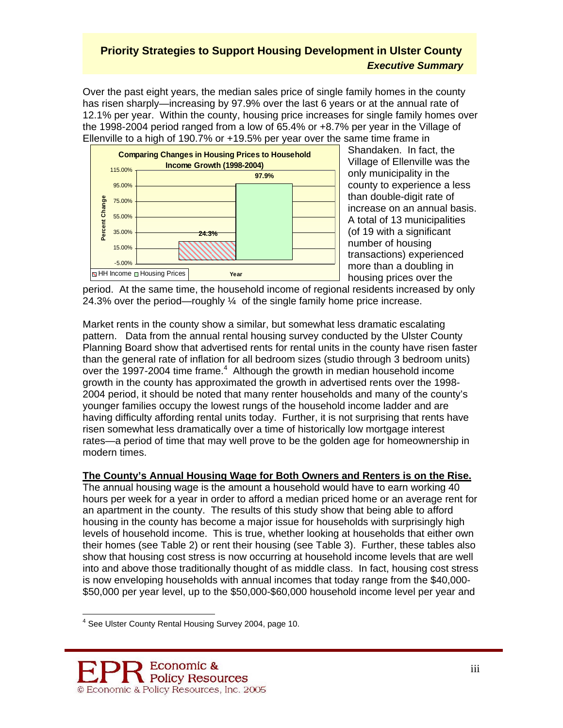Over the past eight years, the median sales price of single family homes in the county has risen sharply—increasing by 97.9% over the last 6 years or at the annual rate of 12.1% per year. Within the county, housing price increases for single family homes over the 1998-2004 period ranged from a low of 65.4% or +8.7% per year in the Village of Ellenville to a high of 190.7% or +19.5% per year over the same time frame in



Shandaken. In fact, the Village of Ellenville was the only municipality in the county to experience a less than double-digit rate of increase on an annual basis. A total of 13 municipalities (of 19 with a significant number of housing transactions) experienced more than a doubling in housing prices over the

period. At the same time, the household income of regional residents increased by only 24.3% over the period—roughly ¼ of the single family home price increase.

Market rents in the county show a similar, but somewhat less dramatic escalating pattern. Data from the annual rental housing survey conducted by the Ulster County Planning Board show that advertised rents for rental units in the county have risen faster than the general rate of inflation for all bedroom sizes (studio through 3 bedroom units) overthe 1997-2004 time frame.<sup>4</sup> Although the growth in median household income growth in the county has approximated the growth in advertised rents over the 1998- 2004 period, it should be noted that many renter households and many of the county's younger families occupy the lowest rungs of the household income ladder and are having difficulty affording rental units today. Further, it is not surprising that rents have risen somewhat less dramatically over a time of historically low mortgage interest rates—a period of time that may well prove to be the golden age for homeownership in modern times.

### **The County's Annual Housing Wage for Both Owners and Renters is on the Rise.**

The annual housing wage is the amount a household would have to earn working 40 hours per week for a year in order to afford a median priced home or an average rent for an apartment in the county. The results of this study show that being able to afford housing in the county has become a major issue for households with surprisingly high levels of household income. This is true, whether looking at households that either own their homes (see Table 2) or rent their housing (see Table 3). Further, these tables also show that housing cost stress is now occurring at household income levels that are well into and above those traditionally thought of as middle class. In fact, housing cost stress is now enveloping households with annual incomes that today range from the \$40,000- \$50,000 per year level, up to the \$50,000-\$60,000 household income level per year and

<span id="page-2-0"></span> 4 See Ulster County Rental Housing Survey 2004, page 10.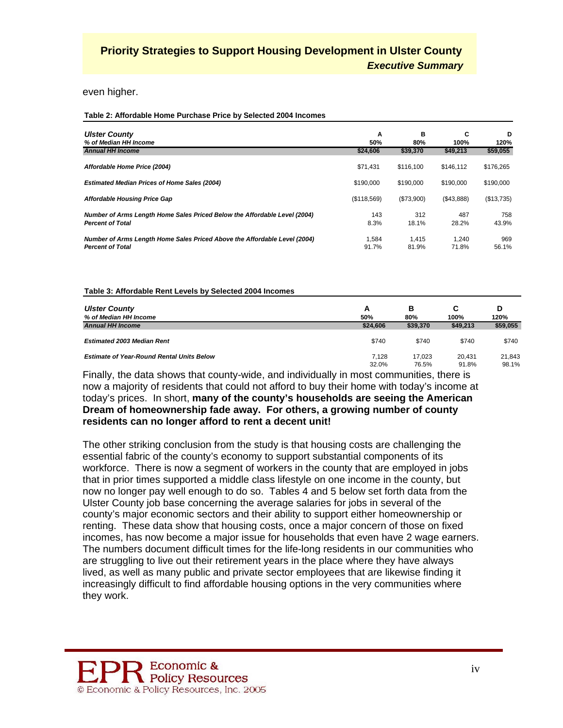even higher.

**Table 2: Affordable Home Purchase Price by Selected 2004 Incomes**

| <b>Ulster County</b>                                                                                 | A              | в              | C              | D            |
|------------------------------------------------------------------------------------------------------|----------------|----------------|----------------|--------------|
| % of Median HH Income                                                                                | 50%            | 80%            | 100%           | 120%         |
| <b>Annual HH Income</b>                                                                              | \$24,606       | \$39,370       | \$49,213       | \$59,055     |
| Affordable Home Price (2004)                                                                         | \$71.431       | \$116.100      | \$146.112      | \$176,265    |
| <b>Estimated Median Prices of Home Sales (2004)</b>                                                  | \$190,000      | \$190,000      | \$190,000      | \$190,000    |
| Affordable Housing Price Gap                                                                         | (\$118,569)    | (\$73,900)     | (\$43,888)     | (\$13,735)   |
| Number of Arms Length Home Sales Priced Below the Affordable Level (2004)                            | 143            | 312            | 487            | 758          |
| <b>Percent of Total</b>                                                                              | 8.3%           | 18.1%          | 28.2%          | 43.9%        |
| Number of Arms Length Home Sales Priced Above the Affordable Level (2004)<br><b>Percent of Total</b> | 1.584<br>91.7% | 1.415<br>81.9% | 1.240<br>71.8% | 969<br>56.1% |

#### **Table 3: Affordable Rent Levels by Selected 2004 Incomes**

| <b>Ulster County</b><br>% of Median HH Income    | А<br>50% | в<br>80% | С<br>100% | 120%     |
|--------------------------------------------------|----------|----------|-----------|----------|
| <b>Annual HH Income</b>                          | \$24,606 | \$39,370 | \$49,213  | \$59,055 |
| <b>Estimated 2003 Median Rent</b>                | \$740    | \$740    | \$740     | \$740    |
| <b>Estimate of Year-Round Rental Units Below</b> | 7.128    | 17.023   | 20.431    | 21.843   |
|                                                  | 32.0%    | 76.5%    | 91.8%     | 98.1%    |

Finally, the data shows that county-wide, and individually in most communities, there is now a majority of residents that could not afford to buy their home with today's income at today's prices. In short, **many of the county's households are seeing the American Dream of homeownership fade away. For others, a growing number of county residents can no longer afford to rent a decent unit!**

The other striking conclusion from the study is that housing costs are challenging the essential fabric of the county's economy to support substantial components of its workforce. There is now a segment of workers in the county that are employed in jobs that in prior times supported a middle class lifestyle on one income in the county, but now no longer pay well enough to do so. Tables 4 and 5 below set forth data from the Ulster County job base concerning the average salaries for jobs in several of the county's major economic sectors and their ability to support either homeownership or renting. These data show that housing costs, once a major concern of those on fixed incomes, has now become a major issue for households that even have 2 wage earners. The numbers document difficult times for the life-long residents in our communities who are struggling to live out their retirement years in the place where they have always lived, as well as many public and private sector employees that are likewise finding it increasingly difficult to find affordable housing options in the very communities where they work.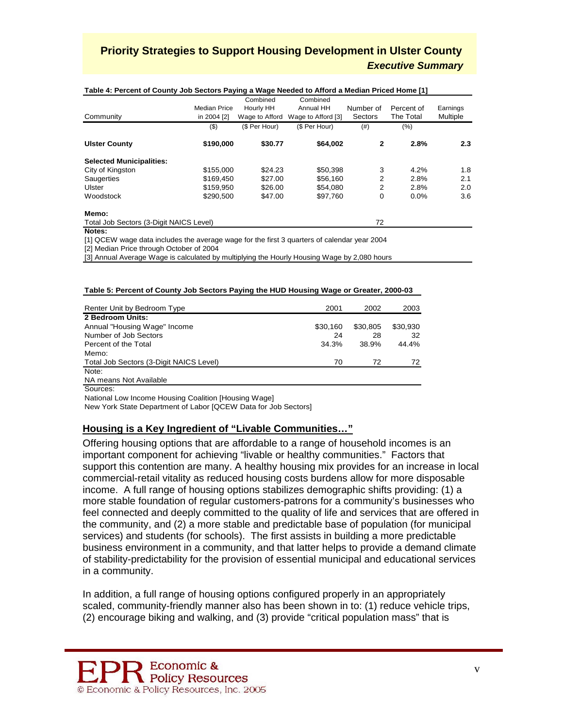| Table 4: Percent of County Job Sectors Paying a wage Needed to Afford a Median Priced Home [1] |                     |                |                    |           |            |          |
|------------------------------------------------------------------------------------------------|---------------------|----------------|--------------------|-----------|------------|----------|
|                                                                                                |                     | Combined       | Combined           |           |            |          |
|                                                                                                | <b>Median Price</b> | Hourly HH      | Annual HH          | Number of | Percent of | Earnings |
| Community                                                                                      | in 2004 [2]         | Wage to Afford | Wage to Afford [3] | Sectors   | The Total  | Multiple |
|                                                                                                | $($ \$)             | (\$ Per Hour)  | (\$ Per Hour)      | (# )      | $(\% )$    |          |
| <b>Ulster County</b>                                                                           | \$190,000           | \$30.77        | \$64,002           | 2         | 2.8%       | 2.3      |
| <b>Selected Municipalities:</b>                                                                |                     |                |                    |           |            |          |
| City of Kingston                                                                               | \$155,000           | \$24.23        | \$50,398           | 3         | 4.2%       | 1.8      |
| Saugerties                                                                                     | \$169,450           | \$27.00        | \$56,160           | 2         | 2.8%       | 2.1      |
| Ulster                                                                                         | \$159,950           | \$26.00        | \$54.080           | 2         | 2.8%       | 2.0      |
| Woodstock                                                                                      | \$290.500           | \$47.00        | \$97.760           | 0         | 0.0%       | 3.6      |
| Memo:                                                                                          |                     |                |                    |           |            |          |
| Total Job Sectors (3-Digit NAICS Level)                                                        |                     |                |                    | 72        |            |          |
| Notes:                                                                                         |                     |                |                    |           |            |          |
| [1] QCEW wage data includes the average wage for the first 3 guarters of calendar year 2004    |                     |                |                    |           |            |          |

#### **Table 4: Percent of County Job Sectors Paying a Wage Needed to Afford a Median Priced Home [1]**

[2] Median Price through October of 2004

[3] Annual Average Wage is calculated by multiplying the Hourly Housing Wage by 2,080 hours

#### **Table 5: Percent of County Job Sectors Paying the HUD Housing Wage or Greater, 2000-03**

| Renter Unit by Bedroom Type             | 2001     | 2002     | 2003     |
|-----------------------------------------|----------|----------|----------|
| 2 Bedroom Units:                        |          |          |          |
| Annual "Housing Wage" Income            | \$30.160 | \$30,805 | \$30,930 |
| Number of Job Sectors                   | 24       | 28       | 32       |
| Percent of the Total                    | 34.3%    | 38.9%    | 44.4%    |
| Memo:                                   |          |          |          |
| Total Job Sectors (3-Digit NAICS Level) | 70       | 72       | 72       |
| Note:                                   |          |          |          |
| NA means Not Available                  |          |          |          |
| Sources:                                |          |          |          |

National Low Income Housing Coalition [Housing Wage]

New York State Department of Labor [QCEW Data for Job Sectors]

### **Housing is a Key Ingredient of "Livable Communities…"**

Offering housing options that are affordable to a range of household incomes is an important component for achieving "livable or healthy communities." Factors that support this contention are many. A healthy housing mix provides for an increase in local commercial-retail vitality as reduced housing costs burdens allow for more disposable income. A full range of housing options stabilizes demographic shifts providing: (1) a more stable foundation of regular customers-patrons for a community's businesses who feel connected and deeply committed to the quality of life and services that are offered in the community, and (2) a more stable and predictable base of population (for municipal services) and students (for schools). The first assists in building a more predictable business environment in a community, and that latter helps to provide a demand climate of stability-predictability for the provision of essential municipal and educational services in a community.

In addition, a full range of housing options configured properly in an appropriately scaled, community-friendly manner also has been shown in to: (1) reduce vehicle trips, (2) encourage biking and walking, and (3) provide "critical population mass" that is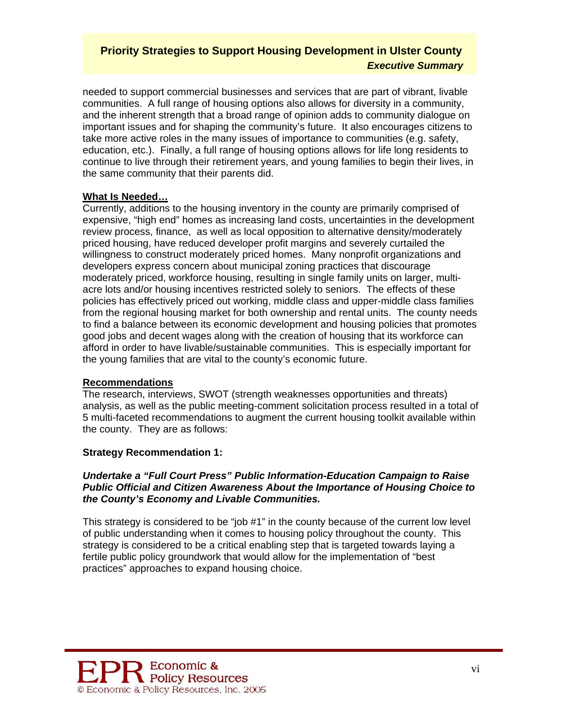needed to support commercial businesses and services that are part of vibrant, livable communities. A full range of housing options also allows for diversity in a community, and the inherent strength that a broad range of opinion adds to community dialogue on important issues and for shaping the community's future. It also encourages citizens to take more active roles in the many issues of importance to communities (e.g. safety, education, etc.). Finally, a full range of housing options allows for life long residents to continue to live through their retirement years, and young families to begin their lives, in the same community that their parents did.

### **What Is Needed…**

Currently, additions to the housing inventory in the county are primarily comprised of expensive, "high end" homes as increasing land costs, uncertainties in the development review process, finance, as well as local opposition to alternative density/moderately priced housing, have reduced developer profit margins and severely curtailed the willingness to construct moderately priced homes. Many nonprofit organizations and developers express concern about municipal zoning practices that discourage moderately priced, workforce housing, resulting in single family units on larger, multiacre lots and/or housing incentives restricted solely to seniors. The effects of these policies has effectively priced out working, middle class and upper-middle class families from the regional housing market for both ownership and rental units. The county needs to find a balance between its economic development and housing policies that promotes good jobs and decent wages along with the creation of housing that its workforce can afford in order to have livable/sustainable communities. This is especially important for the young families that are vital to the county's economic future.

### **Recommendations**

The research, interviews, SWOT (strength weaknesses opportunities and threats) analysis, as well as the public meeting-comment solicitation process resulted in a total of 5 multi-faceted recommendations to augment the current housing toolkit available within the county. They are as follows:

## **Strategy Recommendation 1:**

#### *Undertake a "Full Court Press" Public Information-Education Campaign to Raise Public Official and Citizen Awareness About the Importance of Housing Choice to the County's Economy and Livable Communities.*

This strategy is considered to be "job #1" in the county because of the current low level of public understanding when it comes to housing policy throughout the county. This strategy is considered to be a critical enabling step that is targeted towards laying a fertile public policy groundwork that would allow for the implementation of "best practices" approaches to expand housing choice.

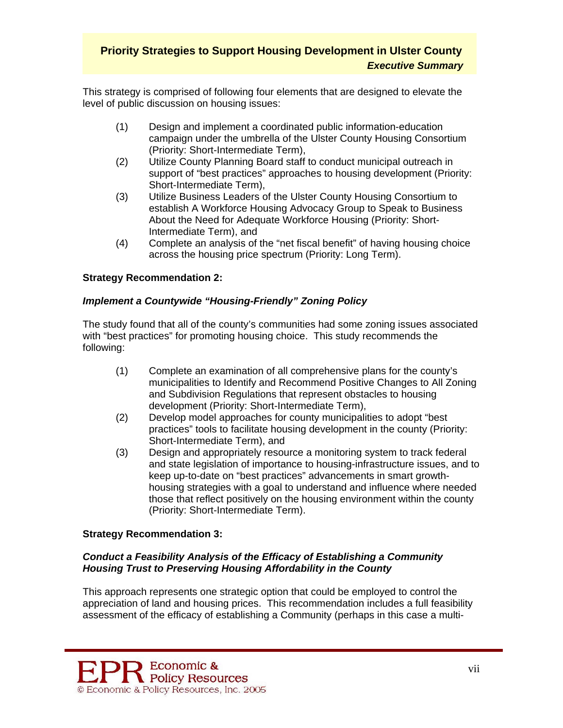This strategy is comprised of following four elements that are designed to elevate the level of public discussion on housing issues:

- (1) Design and implement a coordinated public information-education campaign under the umbrella of the Ulster County Housing Consortium (Priority: Short-Intermediate Term),
- (2) Utilize County Planning Board staff to conduct municipal outreach in support of "best practices" approaches to housing development (Priority: Short-Intermediate Term),
- (3) Utilize Business Leaders of the Ulster County Housing Consortium to establish A Workforce Housing Advocacy Group to Speak to Business About the Need for Adequate Workforce Housing (Priority: Short-Intermediate Term), and
- (4) Complete an analysis of the "net fiscal benefit" of having housing choice across the housing price spectrum (Priority: Long Term).

### **Strategy Recommendation 2:**

### *Implement a Countywide "Housing-Friendly" Zoning Policy*

The study found that all of the county's communities had some zoning issues associated with "best practices" for promoting housing choice. This study recommends the following:

- (1) Complete an examination of all comprehensive plans for the county's municipalities to Identify and Recommend Positive Changes to All Zoning and Subdivision Regulations that represent obstacles to housing development (Priority: Short-Intermediate Term),
- (2) Develop model approaches for county municipalities to adopt "best practices" tools to facilitate housing development in the county (Priority: Short-Intermediate Term), and
- (3) Design and appropriately resource a monitoring system to track federal and state legislation of importance to housing-infrastructure issues, and to keep up-to-date on "best practices" advancements in smart growthhousing strategies with a goal to understand and influence where needed those that reflect positively on the housing environment within the county (Priority: Short-Intermediate Term).

### **Strategy Recommendation 3:**

### *Conduct a Feasibility Analysis of the Efficacy of Establishing a Community Housing Trust to Preserving Housing Affordability in the County*

This approach represents one strategic option that could be employed to control the appreciation of land and housing prices. This recommendation includes a full feasibility assessment of the efficacy of establishing a Community (perhaps in this case a multi-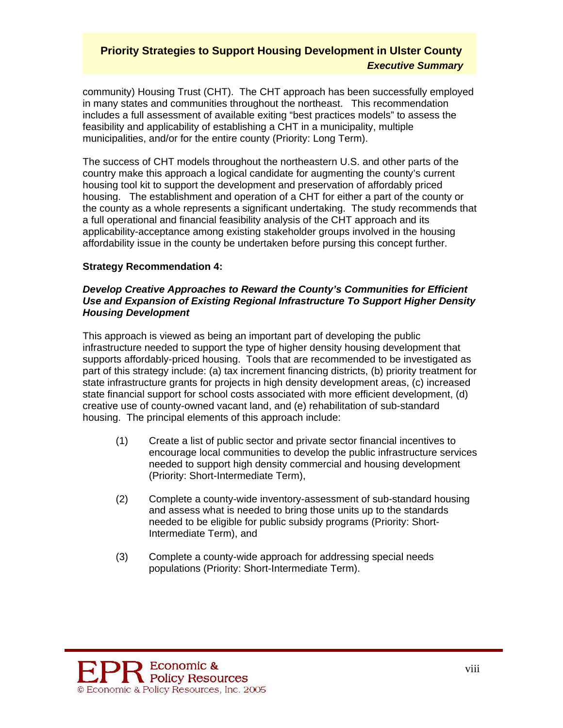community) Housing Trust (CHT). The CHT approach has been successfully employed in many states and communities throughout the northeast. This recommendation includes a full assessment of available exiting "best practices models" to assess the feasibility and applicability of establishing a CHT in a municipality, multiple municipalities, and/or for the entire county (Priority: Long Term).

The success of CHT models throughout the northeastern U.S. and other parts of the country make this approach a logical candidate for augmenting the county's current housing tool kit to support the development and preservation of affordably priced housing. The establishment and operation of a CHT for either a part of the county or the county as a whole represents a significant undertaking. The study recommends that a full operational and financial feasibility analysis of the CHT approach and its applicability-acceptance among existing stakeholder groups involved in the housing affordability issue in the county be undertaken before pursing this concept further.

### **Strategy Recommendation 4:**

#### *Develop Creative Approaches to Reward the County's Communities for Efficient Use and Expansion of Existing Regional Infrastructure To Support Higher Density Housing Development*

This approach is viewed as being an important part of developing the public infrastructure needed to support the type of higher density housing development that supports affordably-priced housing. Tools that are recommended to be investigated as part of this strategy include: (a) tax increment financing districts, (b) priority treatment for state infrastructure grants for projects in high density development areas, (c) increased state financial support for school costs associated with more efficient development, (d) creative use of county-owned vacant land, and (e) rehabilitation of sub-standard housing. The principal elements of this approach include:

- (1) Create a list of public sector and private sector financial incentives to encourage local communities to develop the public infrastructure services needed to support high density commercial and housing development (Priority: Short-Intermediate Term),
- (2) Complete a county-wide inventory-assessment of sub-standard housing and assess what is needed to bring those units up to the standards needed to be eligible for public subsidy programs (Priority: Short-Intermediate Term), and
- (3) Complete a county-wide approach for addressing special needs populations (Priority: Short-Intermediate Term).

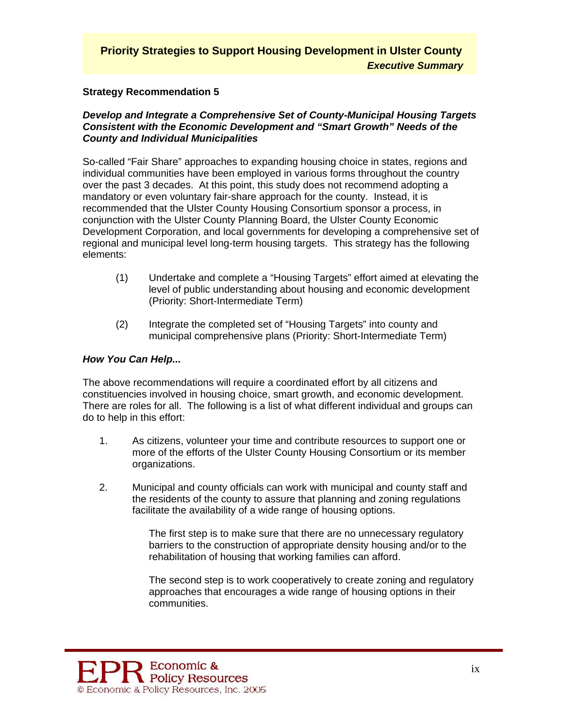#### **Strategy Recommendation 5**

#### *Develop and Integrate a Comprehensive Set of County-Municipal Housing Targets Consistent with the Economic Development and "Smart Growth" Needs of the County and Individual Municipalities*

So-called "Fair Share" approaches to expanding housing choice in states, regions and individual communities have been employed in various forms throughout the country over the past 3 decades. At this point, this study does not recommend adopting a mandatory or even voluntary fair-share approach for the county. Instead, it is recommended that the Ulster County Housing Consortium sponsor a process, in conjunction with the Ulster County Planning Board, the Ulster County Economic Development Corporation, and local governments for developing a comprehensive set of regional and municipal level long-term housing targets. This strategy has the following elements:

- (1) Undertake and complete a "Housing Targets" effort aimed at elevating the level of public understanding about housing and economic development (Priority: Short-Intermediate Term)
- (2) Integrate the completed set of "Housing Targets" into county and municipal comprehensive plans (Priority: Short-Intermediate Term)

#### *How You Can Help...*

The above recommendations will require a coordinated effort by all citizens and constituencies involved in housing choice, smart growth, and economic development. There are roles for all. The following is a list of what different individual and groups can do to help in this effort:

- 1. As citizens, volunteer your time and contribute resources to support one or more of the efforts of the Ulster County Housing Consortium or its member organizations.
- 2. Municipal and county officials can work with municipal and county staff and the residents of the county to assure that planning and zoning regulations facilitate the availability of a wide range of housing options.

The first step is to make sure that there are no unnecessary regulatory barriers to the construction of appropriate density housing and/or to the rehabilitation of housing that working families can afford.

The second step is to work cooperatively to create zoning and regulatory approaches that encourages a wide range of housing options in their communities.